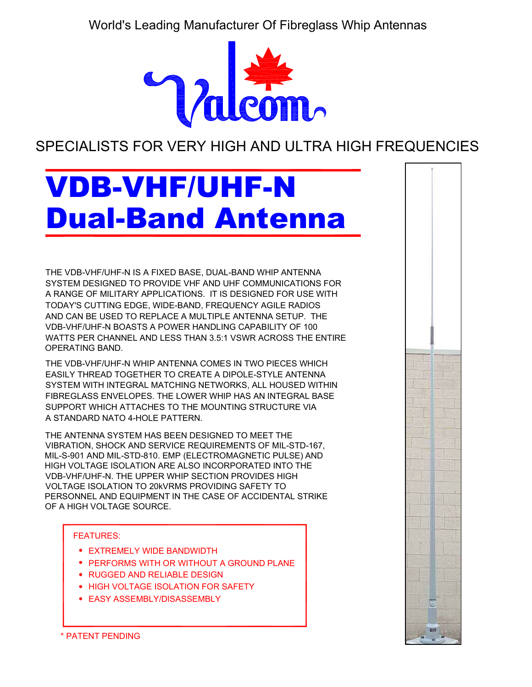World's Leading Manufacturer Of Fibreglass Whip Antennas



SPECIALISTS FOR VERY HIGH AND ULTRA HIGH FREQUENCIES

# VDB-VHF/UHF-N Dual-Band Antenna

THE VDB-VHF/UHF-N IS A FIXED BASE, DUAL-BAND WHIP ANTENNA SYSTEM DESIGNED TO PROVIDE VHF AND UHF COMMUNICATIONS FOR A RANGE OF MILITARY APPLICATIONS. IT IS DESIGNED FOR USE WITH AND CAN BE USED TO REPLACE A MULTIPLE ANTENNA SETUP. THE VDB-VHF/UHF-N BOASTS A POWER HANDLING CAPABILITY OF 100 WATTS PER CHANNEL AND LESS THAN 3.5:1 VSWR ACROSS THE ENTIRE TODAY'S CUTTING EDGE, WIDE-BAND, FREQUENCY AGILE RADIOS OPERATING BAND.

THE VDB-VHF/UHF-N WHIP ANTENNA COMES IN TWO PIECES WHICH EASILY THREAD TOGETHER TO CREATE A DIPOLE-STYLE ANTENNA SYSTEM WITH INTEGRAL MATCHING NETWORKS, ALL HOUSED WITHIN FIBREGLASS ENVELOPES. THE LOWER WHIP HAS AN INTEGRAL BASE SUPPORT WHICH ATTACHES TO THE MOUNTING STRUCTURE VIA A STANDARD NATO 4-HOLE PATTERN.

THE ANTENNA SYSTEM HAS BEEN DESIGNED TO MEET THE VIBRATION, SHOCK AND SERVICE REQUIREMENTS OF MIL-STD-167, MIL-S-901 AND MIL-STD-810. EMP (ELECTROMAGNETIC PULSE) AND HIGH VOLTAGE ISOLATION ARE ALSO INCORPORATED INTO THE VDB-VHF/UHF-N. THE UPPER WHIP SECTION PROVIDES HIGH VOLTAGE ISOLATION TO 20kVRMS PROVIDING SAFETY TO PERSONNEL AND EQUIPMENT IN THE CASE OF ACCIDENTAL STRIKE OF A HIGH VOLTAGE SOURCE.

#### FEATURES:

- EXTREMELY WIDE BANDWIDTH
- PERFORMS WITH OR WITHOUT A GROUND PLANE
- **RUGGED AND RELIABLE DESIGN**
- HIGH VOLTAGE ISOLATION FOR SAFETY
- EASY ASSEMBLY/DISASSEMBLY

\* PATENT PENDING